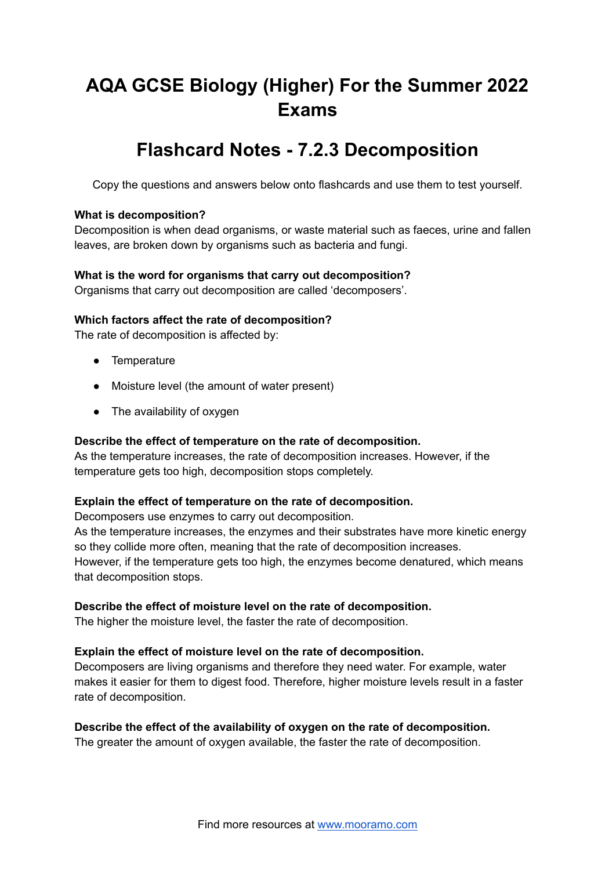# **AQA GCSE Biology (Higher) For the Summer 2022 Exams**

# **Flashcard Notes - 7.2.3 Decomposition**

Copy the questions and answers below onto flashcards and use them to test yourself.

## **What is decomposition?**

Decomposition is when dead organisms, or waste material such as faeces, urine and fallen leaves, are broken down by organisms such as bacteria and fungi.

# **What is the word for organisms that carry out decomposition?**

Organisms that carry out decomposition are called 'decomposers'.

#### **Which factors affect the rate of decomposition?**

The rate of decomposition is affected by:

- Temperature
- Moisture level (the amount of water present)
- The availability of oxygen

# **Describe the effect of temperature on the rate of decomposition.**

As the temperature increases, the rate of decomposition increases. However, if the temperature gets too high, decomposition stops completely.

#### **Explain the effect of temperature on the rate of decomposition.**

Decomposers use enzymes to carry out decomposition.

As the temperature increases, the enzymes and their substrates have more kinetic energy so they collide more often, meaning that the rate of decomposition increases. However, if the temperature gets too high, the enzymes become denatured, which means that decomposition stops.

#### **Describe the effect of moisture level on the rate of decomposition.**

The higher the moisture level, the faster the rate of decomposition.

#### **Explain the effect of moisture level on the rate of decomposition.**

Decomposers are living organisms and therefore they need water. For example, water makes it easier for them to digest food. Therefore, higher moisture levels result in a faster rate of decomposition.

#### **Describe the effect of the availability of oxygen on the rate of decomposition.**

The greater the amount of oxygen available, the faster the rate of decomposition.